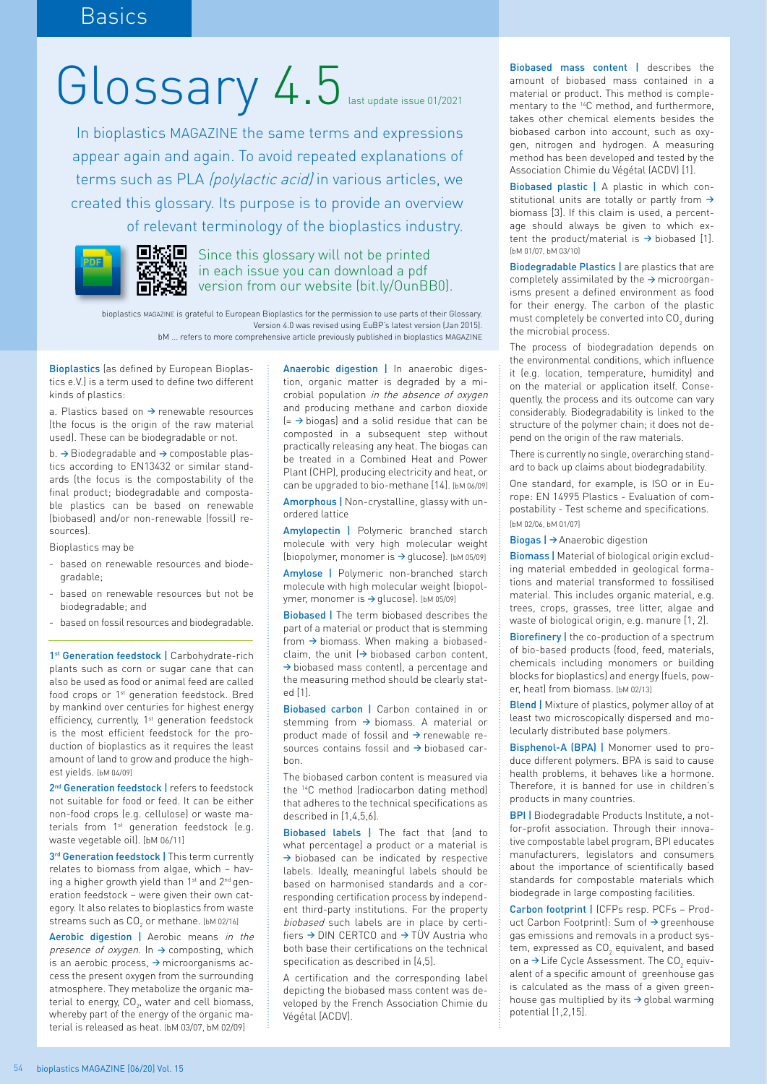## Glossary 4.5 last update issue 01/2021

In bioplastics MAGAZINE the same terms and expressions appear again and again. To avoid repeated explanations of terms such as PLA (polylactic acid) in various articles, we created this glossary. Its purpose is to provide an overview of relevant terminology of the bioplastics industry.



 $\Box$ Since this glossary will not be printed in each issue you can download a pdf version from our website (bit.ly/OunBB0).

bioplastics MAGAZINE is grateful to European Bioplastics for the permission to use parts of their Glossary. Version 4.0 was revised using EuBP's latest version (Jan 2015). bM ... refers to more comprehensive article previously published in bioplastics MAGAZINE

Bioplastics (as defined by European Bioplastics e.V.) is a term used to define two different kinds of plastics:

a. Plastics based on **→** renewable resources (the focus is the origin of the raw material used). These can be biodegradable or not.

b. **→** Biodegradable and **→** compostable plastics according to EN13432 or similar standards (the focus is the compostability of the final product; biodegradable and compostable plastics can be based on renewable (biobased) and/or non-renewable (fossil) resources).

Bioplastics may be

- based on renewable resources and biodegradable;
- based on renewable resources but not be biodegradable; and
- based on fossil resources and biodegradable.

1<sup>st</sup> Generation feedstock | Carbohydrate-rich plants such as corn or sugar cane that can also be used as food or animal feed are called food crops or 1<sup>st</sup> generation feedstock. Bred by mankind over centuries for highest energy efficiency, currently, 1st generation feedstock is the most efficient feedstock for the production of bioplastics as it requires the least amount of land to grow and produce the highest yields. [bM 04/09]

2<sup>nd</sup> Generation feedstock | refers to feedstock not suitable for food or feed. It can be either non-food crops (e.g. cellulose) or waste materials from 1<sup>st</sup> generation feedstock (e.g. waste vegetable oil). [bM 06/11]

3<sup>rd</sup> Generation feedstock | This term currently relates to biomass from algae, which – having a higher growth yield than 1<sup>st</sup> and 2<sup>nd</sup> generation feedstock – were given their own category. It also relates to bioplastics from waste streams such as  $\textsf{CO}_2$  or methane. [bM 02/16]

Aerobic digestion | Aerobic means in the presence of oxygen. In **→** composting, which is an aerobic process, **→** microorganisms access the present oxygen from the surrounding atmosphere. They metabolize the organic material to energy, CO<sub>2</sub>, water and cell biomass, whereby part of the energy of the organic material is released as heat. [bM 03/07, bM 02/09]

Anaerobic digestion | In anaerobic digestion, organic matter is degraded by a microbial population in the absence of oxygen and producing methane and carbon dioxide (= **→** biogas) and a solid residue that can be composted in a subsequent step without practically releasing any heat. The biogas can be treated in a Combined Heat and Power Plant (CHP), producing electricity and heat, or can be upgraded to bio-methane [14]. [bM 06/09]

Amorphous | Non-crystalline, glassy with unordered lattice

Amylopectin | Polymeric branched starch molecule with very high molecular weight (biopolymer, monomer is **→** glucose). [bM 05/09]

Amylose | Polymeric non-branched starch molecule with high molecular weight (biopolymer, monomer is **→** glucose). [bM 05/09]

Biobased | The term biobased describes the part of a material or product that is stemming from **→** biomass. When making a biobasedclaim, the unit (**→** biobased carbon content, **→** biobased mass content), a percentage and the measuring method should be clearly stated [1].

Biobased carbon | Carbon contained in or stemming from **→** biomass. A material or product made of fossil and **→** renewable resources contains fossil and **→** biobased carbon.

The biobased carbon content is measured via the 14C method (radiocarbon dating method) that adheres to the technical specifications as described in [1,4,5,6].

Biobased labels | The fact that (and to what percentage) a product or a material is **→** biobased can be indicated by respective labels. Ideally, meaningful labels should be based on harmonised standards and a corresponding certification process by independent third-party institutions. For the property biobased such labels are in place by certifiers **→** DIN CERTCO and **→** TÜV Austria who both base their certifications on the technical specification as described in [4,5].

A certification and the corresponding label depicting the biobased mass content was developed by the French Association Chimie du Végétal [ACDV].

Biobased mass content | describes the amount of biobased mass contained in a material or product. This method is complementary to the 14C method, and furthermore, takes other chemical elements besides the biobased carbon into account, such as oxygen, nitrogen and hydrogen. A measuring method has been developed and tested by the Association Chimie du Végétal (ACDV) [1].

Biobased plastic | A plastic in which constitutional units are totally or partly from **→**  biomass [3]. If this claim is used, a percentage should always be given to which extent the product/material is **→** biobased [1]. [bM 01/07, bM 03/10]

Biodegradable Plastics | are plastics that are completely assimilated by the **→** microorganisms present a defined environment as food for their energy. The carbon of the plastic must completely be converted into  $\textsf{CO}_2$  during the microbial process.

The process of biodegradation depends on the environmental conditions, which influence it (e.g. location, temperature, humidity) and on the material or application itself. Consequently, the process and its outcome can vary considerably. Biodegradability is linked to the structure of the polymer chain; it does not depend on the origin of the raw materials.

There is currently no single, overarching standard to back up claims about biodegradability.

One standard, for example, is ISO or in Europe: EN 14995 Plastics - Evaluation of compostability - Test scheme and specifications. [bM 02/06, bM 01/07]

Biogas | **→** Anaerobic digestion

Biomass | Material of biological origin excluding material embedded in geological formations and material transformed to fossilised material. This includes organic material, e.g. trees, crops, grasses, tree litter, algae and waste of biological origin, e.g. manure [1, 2].

Biorefinery | the co-production of a spectrum of bio-based products (food, feed, materials, chemicals including monomers or building blocks for bioplastics) and energy (fuels, power, heat) from biomass. [bM 02/13]

Blend | Mixture of plastics, polymer alloy of at least two microscopically dispersed and molecularly distributed base polymers.

Bisphenol-A (BPA) | Monomer used to produce different polymers. BPA is said to cause health problems, it behaves like a hormone. Therefore, it is banned for use in children's products in many countries.

BPI | Biodegradable Products Institute, a notfor-profit association. Through their innovative compostable label program, BPI educates manufacturers, legislators and consumers about the importance of scientifically based standards for compostable materials which biodegrade in large composting facilities.

Carbon footprint | (CFPs resp. PCFs – Product Carbon Footprint): Sum of **→** greenhouse gas emissions and removals in a product system, expressed as  $\mathtt{CO}_2$  equivalent, and based on a  $\rightarrow$  Life Cycle Assessment. The CO<sub>2</sub> equivalent of a specific amount of greenhouse gas is calculated as the mass of a given greenhouse gas multiplied by its **→** global warming potential [1,2,15].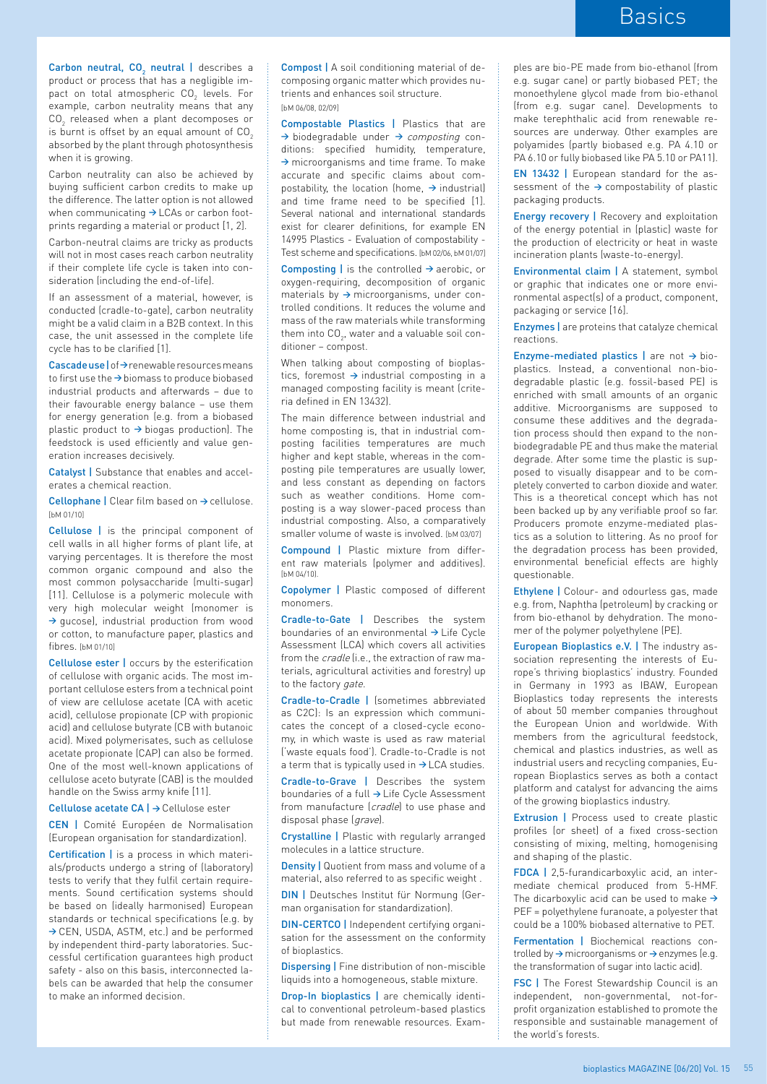**Carbon neutral, CO<sub>2</sub> neutral** | describes a product or process that has a negligible impact on total atmospheric CO $_2$  levels. For example, carbon neutrality means that any  $\textsf{CO}_2$  released when a plant decomposes or is burnt is offset by an equal amount of  $CO<sub>2</sub>$ absorbed by the plant through photosynthesis when it is growing.

Carbon neutrality can also be achieved by buying sufficient carbon credits to make up the difference. The latter option is not allowed when communicating **→** LCAs or carbon footprints regarding a material or product [1, 2].

Carbon-neutral claims are tricky as products will not in most cases reach carbon neutrality if their complete life cycle is taken into consideration (including the end-of-life).

If an assessment of a material, however, is conducted (cradle-to-gate), carbon neutrality might be a valid claim in a B2B context. In this case, the unit assessed in the complete life cycle has to be clarified [1].

Cascade use | of**→** renewable resources means to first use the **→** biomass to produce biobased industrial products and afterwards – due to their favourable energy balance – use them for energy generation (e.g. from a biobased plastic product to **→** biogas production). The feedstock is used efficiently and value generation increases decisively.

Catalyst | Substance that enables and accelerates a chemical reaction.

Cellophane | Clear film based on **→** cellulose. [bM 01/10]

Cellulose | is the principal component of cell walls in all higher forms of plant life, at varying percentages. It is therefore the most common organic compound and also the most common polysaccharide (multi-sugar) [11]. Cellulose is a polymeric molecule with very high molecular weight (monomer is **→** gucose), industrial production from wood or cotton, to manufacture paper, plastics and fibres. [bM 01/10]

Cellulose ester | occurs by the esterification of cellulose with organic acids. The most important cellulose esters from a technical point of view are cellulose acetate (CA with acetic acid), cellulose propionate (CP with propionic acid) and cellulose butyrate (CB with butanoic acid). Mixed polymerisates, such as cellulose acetate propionate (CAP) can also be formed. One of the most well-known applications of cellulose aceto butyrate (CAB) is the moulded handle on the Swiss army knife [11].

Cellulose acetate CA | **→** Cellulose ester

CEN | Comité Européen de Normalisation (European organisation for standardization).

Certification | is a process in which materials/products undergo a string of (laboratory) tests to verify that they fulfil certain requirements. Sound certification systems should be based on (ideally harmonised) European standards or technical specifications (e.g. by **→** CEN, USDA, ASTM, etc.) and be performed by independent third-party laboratories. Successful certification guarantees high product safety - also on this basis, interconnected labels can be awarded that help the consumer to make an informed decision.

Compost | A soil conditioning material of decomposing organic matter which provides nutrients and enhances soil structure. [bM 06/08, 02/09]

Compostable Plastics | Plastics that are **→** biodegradable under **→** composting conditions: specified humidity, temperature, **→** microorganisms and time frame. To make accurate and specific claims about compostability, the location (home, **→** industrial) and time frame need to be specified [1]. Several national and international standards exist for clearer definitions, for example EN 14995 Plastics - Evaluation of compostability - Test scheme and specifications. [bM 02/06, bM 01/07]

Composting | is the controlled **→** aerobic, or oxygen-requiring, decomposition of organic materials by **→** microorganisms, under controlled conditions. It reduces the volume and mass of the raw materials while transforming them into CO $_{\textrm{\tiny{2}}}$ , water and a valuable soil conditioner – compost.

When talking about composting of bioplastics, foremost **→** industrial composting in a managed composting facility is meant (criteria defined in EN 13432).

The main difference between industrial and home composting is, that in industrial composting facilities temperatures are much higher and kept stable, whereas in the composting pile temperatures are usually lower, and less constant as depending on factors such as weather conditions. Home composting is a way slower-paced process than industrial composting. Also, a comparatively smaller volume of waste is involved. [bM 03/07]

Compound | Plastic mixture from different raw materials (polymer and additives). [bM 04/10]

Copolymer | Plastic composed of different monomers.

Cradle-to-Gate | Describes the system boundaries of an environmental **→** Life Cycle Assessment (LCA) which covers all activities from the cradle (i.e., the extraction of raw materials, agricultural activities and forestry) up to the factory gate.

Cradle-to-Cradle | (sometimes abbreviated as C2C): Is an expression which communicates the concept of a closed-cycle economy, in which waste is used as raw material ('waste equals food'). Cradle-to-Cradle is not a term that is typically used in **→** LCA studies.

Cradle-to-Grave | Describes the system boundaries of a full **→** Life Cycle Assessment from manufacture (cradle) to use phase and disposal phase (grave).

Crystalline | Plastic with regularly arranged molecules in a lattice structure.

Density | Quotient from mass and volume of a material, also referred to as specific weight .

DIN | Deutsches Institut für Normung (German organisation for standardization).

DIN-CERTCO | Independent certifying organisation for the assessment on the conformity of bioplastics.

Dispersing | Fine distribution of non-miscible liquids into a homogeneous, stable mixture.

Drop-In bioplastics | are chemically identical to conventional petroleum-based plastics but made from renewable resources. Exam-

ples are bio-PE made from bio-ethanol (from e.g. sugar cane) or partly biobased PET; the monoethylene glycol made from bio-ethanol (from e.g. sugar cane). Developments to make terephthalic acid from renewable resources are underway. Other examples are polyamides (partly biobased e.g. PA 4.10 or PA 6.10 or fully biobased like PA 5.10 or PA11).

EN 13432 | European standard for the assessment of the **→** compostability of plastic packaging products.

Energy recovery | Recovery and exploitation of the energy potential in (plastic) waste for the production of electricity or heat in waste incineration plants (waste-to-energy).

Environmental claim | A statement, symbol or graphic that indicates one or more environmental aspect(s) of a product, component, packaging or service [16].

Enzymes | are proteins that catalyze chemical reactions.

Enzyme-mediated plastics | are not **→** bioplastics. Instead, a conventional non-biodegradable plastic (e.g. fossil-based PE) is enriched with small amounts of an organic additive. Microorganisms are supposed to consume these additives and the degradation process should then expand to the nonbiodegradable PE and thus make the material degrade. After some time the plastic is supposed to visually disappear and to be completely converted to carbon dioxide and water. This is a theoretical concept which has not been backed up by any verifiable proof so far. Producers promote enzyme-mediated plastics as a solution to littering. As no proof for the degradation process has been provided, environmental beneficial effects are highly questionable.

Ethylene | Colour- and odourless gas, made e.g. from, Naphtha (petroleum) by cracking or from bio-ethanol by dehydration. The monomer of the polymer polyethylene (PE).

European Bioplastics e.V. | The industry association representing the interests of Europe's thriving bioplastics' industry. Founded in Germany in 1993 as IBAW, European Bioplastics today represents the interests of about 50 member companies throughout the European Union and worldwide. With members from the agricultural feedstock, chemical and plastics industries, as well as industrial users and recycling companies, European Bioplastics serves as both a contact platform and catalyst for advancing the aims of the growing bioplastics industry.

Extrusion | Process used to create plastic profiles (or sheet) of a fixed cross-section consisting of mixing, melting, homogenising and shaping of the plastic.

FDCA | 2,5-furandicarboxylic acid, an intermediate chemical produced from 5-HMF. The dicarboxylic acid can be used to make **→**  PEF = polyethylene furanoate, a polyester that could be a 100% biobased alternative to PET.

Fermentation | Biochemical reactions controlled by **→** microorganisms or **→** enzymes (e.g. the transformation of sugar into lactic acid).

**FSC | The Forest Stewardship Council is an** independent, non-governmental, not-forprofit organization established to promote the responsible and sustainable management of the world's forests.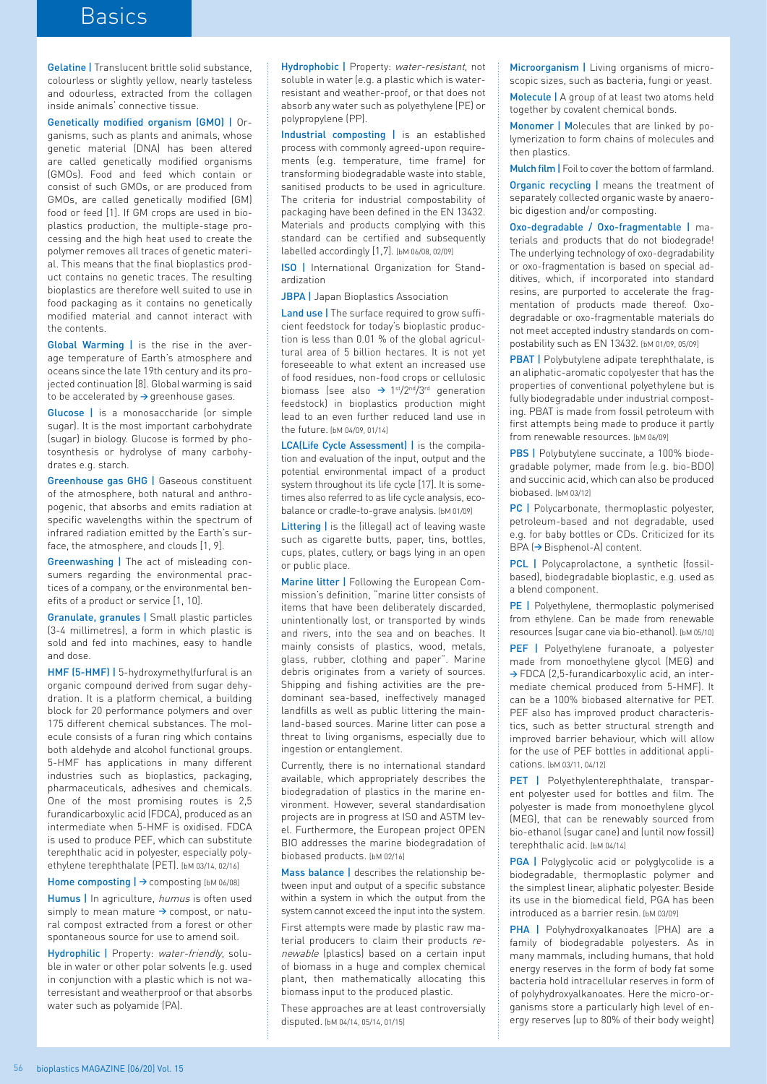## **Basics**

Gelatine | Translucent brittle solid substance, colourless or slightly yellow, nearly tasteless and odourless, extracted from the collagen inside animals' connective tissue.

Genetically modified organism (GMO) | Organisms, such as plants and animals, whose genetic material (DNA) has been altered are called genetically modified organisms (GMOs). Food and feed which contain or consist of such GMOs, or are produced from GMOs, are called genetically modified (GM) food or feed [1]. If GM crops are used in bioplastics production, the multiple-stage processing and the high heat used to create the polymer removes all traces of genetic material. This means that the final bioplastics product contains no genetic traces. The resulting bioplastics are therefore well suited to use in food packaging as it contains no genetically modified material and cannot interact with the contents.

Global Warming | is the rise in the average temperature of Earth's atmosphere and oceans since the late 19th century and its projected continuation [8]. Global warming is said to be accelerated by **→** greenhouse gases.

Glucose | is a monosaccharide (or simple sugar). It is the most important carbohydrate (sugar) in biology. Glucose is formed by photosynthesis or hydrolyse of many carbohydrates e.g. starch.

Greenhouse gas GHG | Gaseous constituent of the atmosphere, both natural and anthropogenic, that absorbs and emits radiation at specific wavelengths within the spectrum of infrared radiation emitted by the Earth's surface, the atmosphere, and clouds [1, 9].

Greenwashing | The act of misleading consumers regarding the environmental practices of a company, or the environmental benefits of a product or service [1, 10].

Granulate, granules | Small plastic particles (3-4 millimetres), a form in which plastic is sold and fed into machines, easy to handle and dose.

HMF (5-HMF) | 5-hydroxymethylfurfural is an organic compound derived from sugar dehydration. It is a platform chemical, a building block for 20 performance polymers and over 175 different chemical substances. The molecule consists of a furan ring which contains both aldehyde and alcohol functional groups. 5-HMF has applications in many different industries such as bioplastics, packaging, pharmaceuticals, adhesives and chemicals. One of the most promising routes is 2,5 furandicarboxylic acid (FDCA), produced as an intermediate when 5-HMF is oxidised. FDCA is used to produce PEF, which can substitute terephthalic acid in polyester, especially polyethylene terephthalate (PET). [bM 03/14, 02/16]

Home composting | → composting [bM 06/08] Humus | In agriculture, humus is often used simply to mean mature **→** compost, or natural compost extracted from a forest or other spontaneous source for use to amend soil.

Hydrophilic | Property: water-friendly, soluble in water or other polar solvents (e.g. used in conjunction with a plastic which is not waterresistant and weatherproof or that absorbs water such as polyamide (PA).

Hydrophobic | Property: water-resistant, not soluble in water (e.g. a plastic which is waterresistant and weather-proof, or that does not absorb any water such as polyethylene (PE) or polypropylene (PP).

Industrial composting | is an established process with commonly agreed-upon requirements (e.g. temperature, time frame) for transforming biodegradable waste into stable, sanitised products to be used in agriculture. The criteria for industrial compostability of packaging have been defined in the EN 13432. Materials and products complying with this standard can be certified and subsequently labelled accordingly [1,7]. [bM 06/08, 02/09]

ISO | International Organization for Standardization

**JBPA** | Japan Bioplastics Association

Land use | The surface required to grow sufficient feedstock for today's bioplastic production is less than 0.01 % of the global agricultural area of 5 billion hectares. It is not yet foreseeable to what extent an increased use of food residues, non-food crops or cellulosic biomass (see also **→** 1st/2nd/3rd generation feedstock) in bioplastics production might lead to an even further reduced land use in the future. [bM 04/09, 01/14]

LCA(Life Cycle Assessment) | is the compilation and evaluation of the input, output and the potential environmental impact of a product system throughout its life cycle [17]. It is sometimes also referred to as life cycle analysis, ecobalance or cradle-to-grave analysis. [bM 01/09]

Littering | is the (illegal) act of leaving waste such as cigarette butts, paper, tins, bottles, cups, plates, cutlery, or bags lying in an open or public place.

Marine litter | Following the European Commission's definition, "marine litter consists of items that have been deliberately discarded, unintentionally lost, or transported by winds and rivers, into the sea and on beaches. It mainly consists of plastics, wood, metals, glass, rubber, clothing and paper". Marine debris originates from a variety of sources. Shipping and fishing activities are the predominant sea-based, ineffectively managed landfills as well as public littering the mainland-based sources. Marine litter can pose a threat to living organisms, especially due to ingestion or entanglement.

Currently, there is no international standard available, which appropriately describes the biodegradation of plastics in the marine environment. However, several standardisation projects are in progress at ISO and ASTM level. Furthermore, the European project OPEN BIO addresses the marine biodegradation of biobased products. [bM 02/16]

Mass balance | describes the relationship between input and output of a specific substance within a system in which the output from the system cannot exceed the input into the system.

First attempts were made by plastic raw material producers to claim their products renewable (plastics) based on a certain input of biomass in a huge and complex chemical plant, then mathematically allocating this biomass input to the produced plastic.

These approaches are at least controversially disputed. [bM 04/14, 05/14, 01/15]

Microorganism | Living organisms of microscopic sizes, such as bacteria, fungi or yeast. Molecule | A group of at least two atoms held together by covalent chemical bonds.

Monomer | Molecules that are linked by polymerization to form chains of molecules and then plastics.

Mulch film | Foil to cover the bottom of farmland.

Organic recycling | means the treatment of separately collected organic waste by anaerobic digestion and/or composting.

Oxo-degradable / Oxo-fragmentable | materials and products that do not biodegrade! The underlying technology of oxo-degradability or oxo-fragmentation is based on special additives, which, if incorporated into standard resins, are purported to accelerate the fragmentation of products made thereof. Oxodegradable or oxo-fragmentable materials do not meet accepted industry standards on compostability such as EN 13432. [bM 01/09, 05/09]

PBAT | Polybutylene adipate terephthalate, is an aliphatic-aromatic copolyester that has the properties of conventional polyethylene but is fully biodegradable under industrial composting. PBAT is made from fossil petroleum with first attempts being made to produce it partly from renewable resources. [bM 06/09]

PBS | Polybutylene succinate, a 100% biodegradable polymer, made from (e.g. bio-BDO) and succinic acid, which can also be produced biobased. [bM 03/12]

PC | Polycarbonate, thermoplastic polyester, petroleum-based and not degradable, used e.g. for baby bottles or CDs. Criticized for its BPA (**→** Bisphenol-A) content.

PCL | Polycaprolactone, a synthetic (fossilbased), biodegradable bioplastic, e.g. used as a blend component.

PE | Polyethylene, thermoplastic polymerised from ethylene. Can be made from renewable resources (sugar cane via bio-ethanol). [bM 05/10]

PEF | Polyethylene furanoate, a polyester made from monoethylene glycol (MEG) and **→** FDCA (2,5-furandicarboxylic acid, an intermediate chemical produced from 5-HMF). It can be a 100% biobased alternative for PET. PEF also has improved product characteristics, such as better structural strength and improved barrier behaviour, which will allow for the use of PEF bottles in additional applications. [bM 03/11, 04/12]

PET | Polyethylenterephthalate, transparent polyester used for bottles and film. The polyester is made from monoethylene glycol (MEG), that can be renewably sourced from bio-ethanol (sugar cane) and (until now fossil) terephthalic acid. [bM 04/14]

**PGA** | Polyglycolic acid or polyglycolide is a biodegradable, thermoplastic polymer and the simplest linear, aliphatic polyester. Beside its use in the biomedical field, PGA has been introduced as a barrier resin. [bM 03/09]

PHA | Polyhydroxyalkanoates (PHA) are a family of biodegradable polyesters. As in many mammals, including humans, that hold energy reserves in the form of body fat some bacteria hold intracellular reserves in form of of polyhydroxyalkanoates. Here the micro-organisms store a particularly high level of energy reserves (up to 80% of their body weight)